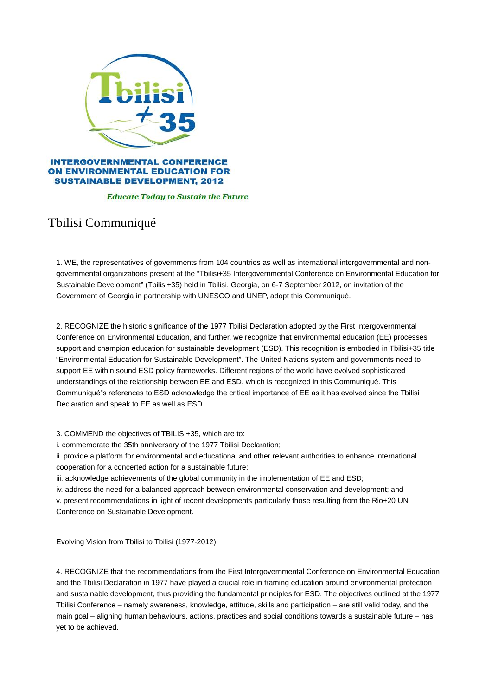

## **INTERGOVERNMENTAL CONFERENCE ON ENVIRONMENTAL EDUCATION FOR SUSTAINABLE DEVELOPMENT, 2012**

## **Educate Today to Sustain the Future**

## Tbilisi Communiqué

1. WE, the representatives of governments from 104 countries as well as international intergovernmental and nongovernmental organizations present at the "Tbilisi+35 Intergovernmental Conference on Environmental Education for Sustainable Development" (Tbilisi+35) held in Tbilisi, Georgia, on 6-7 September 2012, on invitation of the Government of Georgia in partnership with UNESCO and UNEP, adopt this Communiqué.

2. RECOGNIZE the historic significance of the 1977 Tbilisi Declaration adopted by the First Intergovernmental Conference on Environmental Education, and further, we recognize that environmental education (EE) processes support and champion education for sustainable development (ESD). This recognition is embodied in Tbilisi+35 title "Environmental Education for Sustainable Development". The United Nations system and governments need to support EE within sound ESD policy frameworks. Different regions of the world have evolved sophisticated understandings of the relationship between EE and ESD, which is recognized in this Communiqué. This Communiqué"s references to ESD acknowledge the critical importance of EE as it has evolved since the Tbilisi Declaration and speak to EE as well as ESD.

3. COMMEND the objectives of TBILISI+35, which are to:

i. commemorate the 35th anniversary of the 1977 Tbilisi Declaration;

ii. provide a platform for environmental and educational and other relevant authorities to enhance international cooperation for a concerted action for a sustainable future;

iii. acknowledge achievements of the global community in the implementation of EE and ESD;

iv. address the need for a balanced approach between environmental conservation and development; and v. present recommendations in light of recent developments particularly those resulting from the Rio+20 UN Conference on Sustainable Development.

Evolving Vision from Tbilisi to Tbilisi (1977-2012)

4. RECOGNIZE that the recommendations from the First Intergovernmental Conference on Environmental Education and the Tbilisi Declaration in 1977 have played a crucial role in framing education around environmental protection and sustainable development, thus providing the fundamental principles for ESD. The objectives outlined at the 1977 Tbilisi Conference – namely awareness, knowledge, attitude, skills and participation – are still valid today, and the main goal – aligning human behaviours, actions, practices and social conditions towards a sustainable future – has yet to be achieved.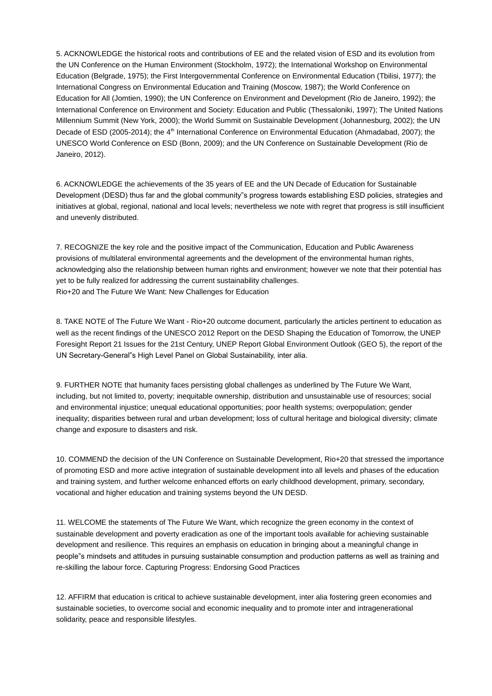5. ACKNOWLEDGE the historical roots and contributions of EE and the related vision of ESD and its evolution from the UN Conference on the Human Environment (Stockholm, 1972); the International Workshop on Environmental Education (Belgrade, 1975); the First Intergovernmental Conference on Environmental Education (Tbilisi, 1977); the International Congress on Environmental Education and Training (Moscow, 1987); the World Conference on Education for All (Jomtien, 1990); the UN Conference on Environment and Development (Rio de Janeiro, 1992); the International Conference on Environment and Society: Education and Public (Thessaloniki, 1997); The United Nations Millennium Summit (New York, 2000); the World Summit on Sustainable Development (Johannesburg, 2002); the UN Decade of ESD (2005-2014); the 4<sup>th</sup> International Conference on Environmental Education (Ahmadabad, 2007); the UNESCO World Conference on ESD (Bonn, 2009); and the UN Conference on Sustainable Development (Rio de Janeiro, 2012).

6. ACKNOWLEDGE the achievements of the 35 years of EE and the UN Decade of Education for Sustainable Development (DESD) thus far and the global community"s progress towards establishing ESD policies, strategies and initiatives at global, regional, national and local levels; nevertheless we note with regret that progress is still insufficient and unevenly distributed.

7. RECOGNIZE the key role and the positive impact of the Communication, Education and Public Awareness provisions of multilateral environmental agreements and the development of the environmental human rights, acknowledging also the relationship between human rights and environment; however we note that their potential has yet to be fully realized for addressing the current sustainability challenges. Rio+20 and The Future We Want: New Challenges for Education

8. TAKE NOTE of The Future We Want - Rio+20 outcome document, particularly the articles pertinent to education as well as the recent findings of the UNESCO 2012 Report on the DESD Shaping the Education of Tomorrow, the UNEP Foresight Report 21 Issues for the 21st Century, UNEP Report Global Environment Outlook (GEO 5), the report of the UN Secretary-General"s High Level Panel on Global Sustainability, inter alia.

9. FURTHER NOTE that humanity faces persisting global challenges as underlined by The Future We Want, including, but not limited to, poverty; inequitable ownership, distribution and unsustainable use of resources; social and environmental injustice; unequal educational opportunities; poor health systems; overpopulation; gender inequality; disparities between rural and urban development; loss of cultural heritage and biological diversity; climate change and exposure to disasters and risk.

10. COMMEND the decision of the UN Conference on Sustainable Development, Rio+20 that stressed the importance of promoting ESD and more active integration of sustainable development into all levels and phases of the education and training system, and further welcome enhanced efforts on early childhood development, primary, secondary, vocational and higher education and training systems beyond the UN DESD.

11. WELCOME the statements of The Future We Want, which recognize the green economy in the context of sustainable development and poverty eradication as one of the important tools available for achieving sustainable development and resilience. This requires an emphasis on education in bringing about a meaningful change in people"s mindsets and attitudes in pursuing sustainable consumption and production patterns as well as training and re-skilling the labour force. Capturing Progress: Endorsing Good Practices

12. AFFIRM that education is critical to achieve sustainable development, inter alia fostering green economies and sustainable societies, to overcome social and economic inequality and to promote inter and intragenerational solidarity, peace and responsible lifestyles.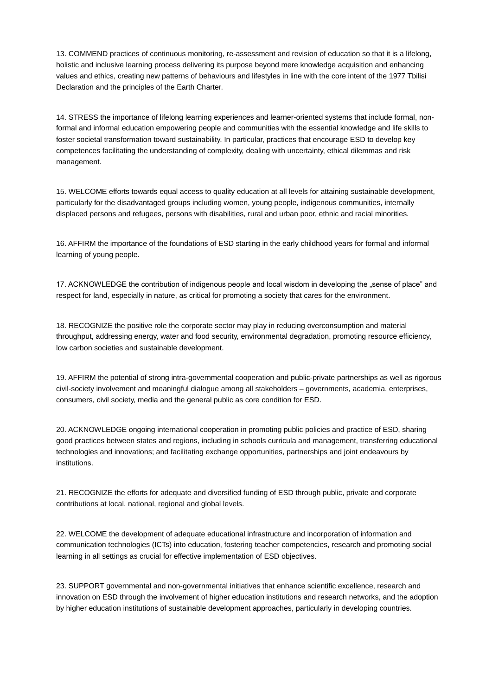13. COMMEND practices of continuous monitoring, re-assessment and revision of education so that it is a lifelong, holistic and inclusive learning process delivering its purpose beyond mere knowledge acquisition and enhancing values and ethics, creating new patterns of behaviours and lifestyles in line with the core intent of the 1977 Tbilisi Declaration and the principles of the Earth Charter.

14. STRESS the importance of lifelong learning experiences and learner-oriented systems that include formal, nonformal and informal education empowering people and communities with the essential knowledge and life skills to foster societal transformation toward sustainability. In particular, practices that encourage ESD to develop key competences facilitating the understanding of complexity, dealing with uncertainty, ethical dilemmas and risk management.

15. WELCOME efforts towards equal access to quality education at all levels for attaining sustainable development, particularly for the disadvantaged groups including women, young people, indigenous communities, internally displaced persons and refugees, persons with disabilities, rural and urban poor, ethnic and racial minorities.

16. AFFIRM the importance of the foundations of ESD starting in the early childhood years for formal and informal learning of young people.

17. ACKNOWLEDGE the contribution of indigenous people and local wisdom in developing the "sense of place" and respect for land, especially in nature, as critical for promoting a society that cares for the environment.

18. RECOGNIZE the positive role the corporate sector may play in reducing overconsumption and material throughput, addressing energy, water and food security, environmental degradation, promoting resource efficiency, low carbon societies and sustainable development.

19. AFFIRM the potential of strong intra-governmental cooperation and public-private partnerships as well as rigorous civil-society involvement and meaningful dialogue among all stakeholders – governments, academia, enterprises, consumers, civil society, media and the general public as core condition for ESD.

20. ACKNOWLEDGE ongoing international cooperation in promoting public policies and practice of ESD, sharing good practices between states and regions, including in schools curricula and management, transferring educational technologies and innovations; and facilitating exchange opportunities, partnerships and joint endeavours by institutions.

21. RECOGNIZE the efforts for adequate and diversified funding of ESD through public, private and corporate contributions at local, national, regional and global levels.

22. WELCOME the development of adequate educational infrastructure and incorporation of information and communication technologies (ICTs) into education, fostering teacher competencies, research and promoting social learning in all settings as crucial for effective implementation of ESD objectives.

23. SUPPORT governmental and non-governmental initiatives that enhance scientific excellence, research and innovation on ESD through the involvement of higher education institutions and research networks, and the adoption by higher education institutions of sustainable development approaches, particularly in developing countries.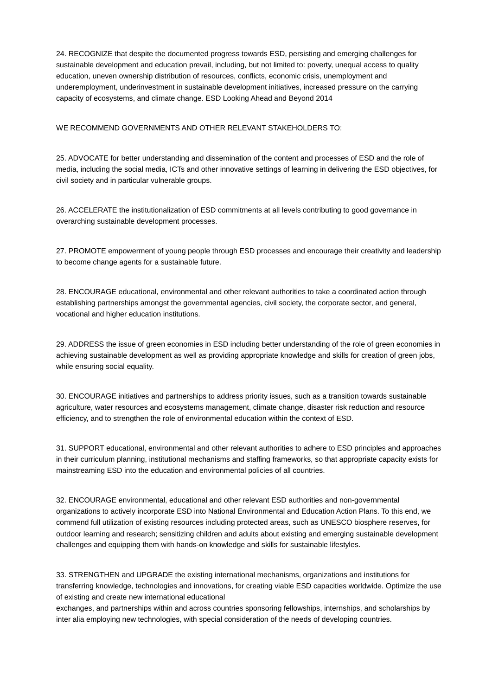24. RECOGNIZE that despite the documented progress towards ESD, persisting and emerging challenges for sustainable development and education prevail, including, but not limited to: poverty, unequal access to quality education, uneven ownership distribution of resources, conflicts, economic crisis, unemployment and underemployment, underinvestment in sustainable development initiatives, increased pressure on the carrying capacity of ecosystems, and climate change. ESD Looking Ahead and Beyond 2014

## WE RECOMMEND GOVERNMENTS AND OTHER RELEVANT STAKEHOLDERS TO:

25. ADVOCATE for better understanding and dissemination of the content and processes of ESD and the role of media, including the social media, ICTs and other innovative settings of learning in delivering the ESD objectives, for civil society and in particular vulnerable groups.

26. ACCELERATE the institutionalization of ESD commitments at all levels contributing to good governance in overarching sustainable development processes.

27. PROMOTE empowerment of young people through ESD processes and encourage their creativity and leadership to become change agents for a sustainable future.

28. ENCOURAGE educational, environmental and other relevant authorities to take a coordinated action through establishing partnerships amongst the governmental agencies, civil society, the corporate sector, and general, vocational and higher education institutions.

29. ADDRESS the issue of green economies in ESD including better understanding of the role of green economies in achieving sustainable development as well as providing appropriate knowledge and skills for creation of green jobs, while ensuring social equality.

30. ENCOURAGE initiatives and partnerships to address priority issues, such as a transition towards sustainable agriculture, water resources and ecosystems management, climate change, disaster risk reduction and resource efficiency, and to strengthen the role of environmental education within the context of ESD.

31. SUPPORT educational, environmental and other relevant authorities to adhere to ESD principles and approaches in their curriculum planning, institutional mechanisms and staffing frameworks, so that appropriate capacity exists for mainstreaming ESD into the education and environmental policies of all countries.

32. ENCOURAGE environmental, educational and other relevant ESD authorities and non-governmental organizations to actively incorporate ESD into National Environmental and Education Action Plans. To this end, we commend full utilization of existing resources including protected areas, such as UNESCO biosphere reserves, for outdoor learning and research; sensitizing children and adults about existing and emerging sustainable development challenges and equipping them with hands-on knowledge and skills for sustainable lifestyles.

33. STRENGTHEN and UPGRADE the existing international mechanisms, organizations and institutions for transferring knowledge, technologies and innovations, for creating viable ESD capacities worldwide. Optimize the use of existing and create new international educational

exchanges, and partnerships within and across countries sponsoring fellowships, internships, and scholarships by inter alia employing new technologies, with special consideration of the needs of developing countries.